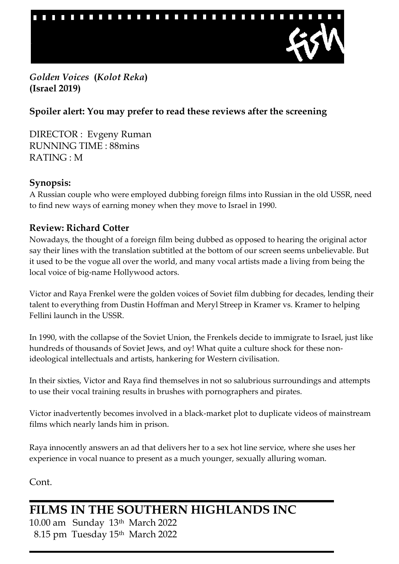

*Golden Voices* **(***Kolot Reka***) (Israel 2019)**

# **Spoiler alert: You may prefer to read these reviews after the screening**

DIRECTOR : Evgeny Ruman RUNNING TIME : 88mins RATING : M

## **Synopsis:**

A Russian couple who were employed dubbing foreign films into Russian in the old USSR, need to find new ways of earning money when they move to Israel in 1990.

## **Review: Richard Cotter**

Nowadays, the thought of a foreign film being dubbed as opposed to hearing the original actor say their lines with the translation subtitled at the bottom of our screen seems unbelievable. But it used to be the vogue all over the world, and many vocal artists made a living from being the local voice of big-name Hollywood actors.

Victor and Raya Frenkel were the golden voices of Soviet film dubbing for decades, lending their talent to everything from Dustin Hoffman and Meryl Streep in Kramer vs. Kramer to helping Fellini launch in the USSR.

In 1990, with the collapse of the Soviet Union, the Frenkels decide to immigrate to Israel, just like hundreds of thousands of Soviet Jews, and oy! What quite a culture shock for these nonideological intellectuals and artists, hankering for Western civilisation.

In their sixties, Victor and Raya find themselves in not so salubrious surroundings and attempts to use their vocal training results in brushes with pornographers and pirates.

Victor inadvertently becomes involved in a black-market plot to duplicate videos of mainstream films which nearly lands him in prison.

Raya innocently answers an ad that delivers her to a sex hot line service, where she uses her experience in vocal nuance to present as a much younger, sexually alluring woman.

Cont.

# **FILMS IN THE SOUTHERN HIGHLANDS INC** 10.00 am Sunday 13th March 2022 8.15 pm Tuesday 15th March 2022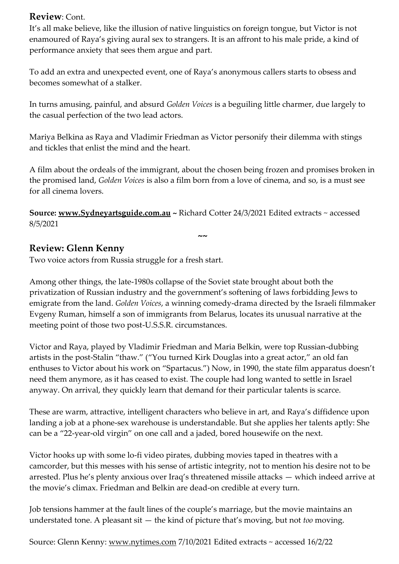#### **Review**: Cont.

It's all make believe, like the illusion of native linguistics on foreign tongue, but Victor is not enamoured of Raya's giving aural sex to strangers. It is an affront to his male pride, a kind of performance anxiety that sees them argue and part.

To add an extra and unexpected event, one of Raya's anonymous callers starts to obsess and becomes somewhat of a stalker.

In turns amusing, painful, and absurd *Golden Voices* is a beguiling little charmer, due largely to the casual perfection of the two lead actors.

Mariya Belkina as Raya and Vladimir Friedman as Victor personify their dilemma with stings and tickles that enlist the mind and the heart.

A film about the ordeals of the immigrant, about the chosen being frozen and promises broken in the promised land, *Golden Voices* is also a film born from a love of cinema, and so, is a must see for all cinema lovers.

**Source: [www.Sydneyartsguide.com.au](http://www.sydneyartsguide.com.au/) ~** Richard Cotter 24/3/2021 Edited extracts ~ accessed 8/5/2021

**~~**

#### **Review: Glenn Kenny**

Two voice actors from Russia struggle for a fresh start.

Among other things, the late-1980s collapse of the Soviet state brought about both the privatization of Russian industry and the government's softening of laws forbidding Jews to emigrate from the land. *Golden Voices*, a winning comedy-drama directed by the Israeli filmmaker Evgeny Ruman, himself a son of immigrants from Belarus, locates its unusual narrative at the meeting point of those two post-U.S.S.R. circumstances.

Victor and Raya, played by Vladimir Friedman and Maria Belkin, were top Russian-dubbing artists in the post-Stalin "thaw." ("You turned Kirk Douglas into a great actor," an old fan enthuses to Victor about his work on "Spartacus.") Now, in 1990, the state film apparatus doesn't need them anymore, as it has ceased to exist. The couple had long wanted to settle in Israel anyway. On arrival, they quickly learn that demand for their particular talents is scarce.

These are warm, attractive, intelligent characters who believe in art, and Raya's diffidence upon landing a job at a phone-sex warehouse is understandable. But she applies her talents aptly: She can be a "22-year-old virgin" on one call and a jaded, bored housewife on the next.

Victor hooks up with some lo-fi video pirates, dubbing movies taped in theatres with a camcorder, but this messes with his sense of artistic integrity, not to mention his desire not to be arrested. Plus he's plenty anxious over Iraq's threatened missile attacks — which indeed arrive at the movie's climax. Friedman and Belkin are dead-on credible at every turn.

Job tensions hammer at the fault lines of the couple's marriage, but the movie maintains an [un](http://www.imdb.com/title/tt9857480/?ref_=ref_ext_NYT)derstated tone. A pleasant sit — the kind of picture that's moving, but not *too* moving.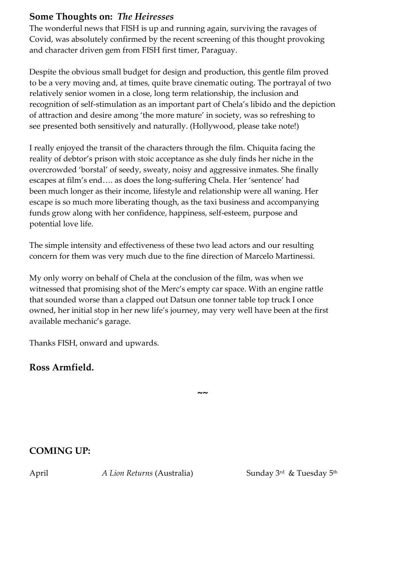#### **Some Thoughts on:** *The Heiresses*

The wonderful news that FISH is up and running again, surviving the ravages of Covid, was absolutely confirmed by the recent screening of this thought provoking and character driven gem from FISH first timer, Paraguay.

Despite the obvious small budget for design and production, this gentle film proved to be a very moving and, at times, quite brave cinematic outing. The portrayal of two relatively senior women in a close, long term relationship, the inclusion and recognition of self-stimulation as an important part of Chela's libido and the depiction of attraction and desire among 'the more mature' in society, was so refreshing to see presented both sensitively and naturally. (Hollywood, please take note!)

I really enjoyed the transit of the characters through the film. Chiquita facing the reality of debtor's prison with stoic acceptance as she duly finds her niche in the overcrowded 'borstal' of seedy, sweaty, noisy and aggressive inmates. She finally escapes at film's end…. as does the long-suffering Chela. Her 'sentence' had been much longer as their income, lifestyle and relationship were all waning. Her escape is so much more liberating though, as the taxi business and accompanying funds grow along with her confidence, happiness, self-esteem, purpose and potential love life.

The simple intensity and effectiveness of these two lead actors and our resulting concern for them was very much due to the fine direction of Marcelo Martinessi.

My only worry on behalf of Chela at the conclusion of the film, was when we witnessed that promising shot of the Merc's empty car space. With an engine rattle that sounded worse than a clapped out Datsun one tonner table top truck I once owned, her initial stop in her new life's journey, may very well have been at the first available mechanic's garage.

**~~**

Thanks FISH, onward and upwards.

#### **Ross Armfield.**

**COMING UP:**

April *A Lion Returns* (Australia)

& Tuesday 5<sup>th</sup>